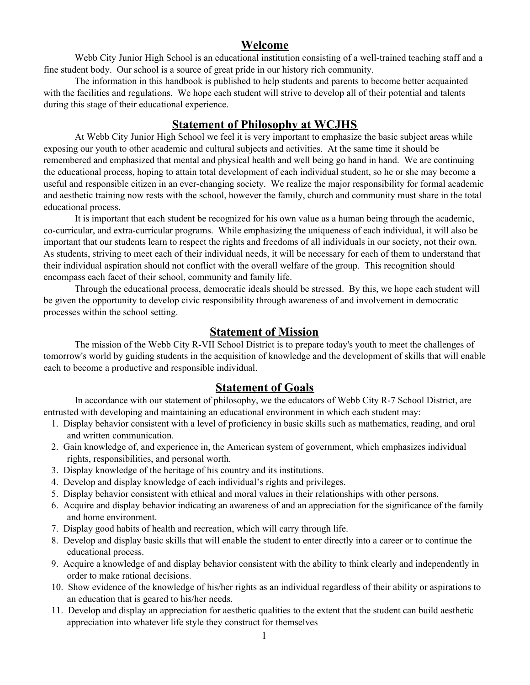# **Welcome**

Webb City Junior High School is an educational institution consisting of a well-trained teaching staff and a fine student body. Our school is a source of great pride in our history rich community.

The information in this handbook is published to help students and parents to become better acquainted with the facilities and regulations. We hope each student will strive to develop all of their potential and talents during this stage of their educational experience.

# **Statement of Philosophy at WCJHS**

At Webb City Junior High School we feel it is very important to emphasize the basic subject areas while exposing our youth to other academic and cultural subjects and activities. At the same time it should be remembered and emphasized that mental and physical health and well being go hand in hand. We are continuing the educational process, hoping to attain total development of each individual student, so he or she may become a useful and responsible citizen in an ever-changing society. We realize the major responsibility for formal academic and aesthetic training now rests with the school, however the family, church and community must share in the total educational process.

It is important that each student be recognized for his own value as a human being through the academic, co-curricular, and extra-curricular programs. While emphasizing the uniqueness of each individual, it will also be important that our students learn to respect the rights and freedoms of all individuals in our society, not their own. As students, striving to meet each of their individual needs, it will be necessary for each of them to understand that their individual aspiration should not conflict with the overall welfare of the group. This recognition should encompass each facet of their school, community and family life.

Through the educational process, democratic ideals should be stressed. By this, we hope each student will be given the opportunity to develop civic responsibility through awareness of and involvement in democratic processes within the school setting.

# **Statement of Mission**

The mission of the Webb City R-VII School District is to prepare today's youth to meet the challenges of tomorrow's world by guiding students in the acquisition of knowledge and the development of skills that will enable each to become a productive and responsible individual.

# **Statement of Goals**

In accordance with our statement of philosophy, we the educators of Webb City R-7 School District, are entrusted with developing and maintaining an educational environment in which each student may:

- 1. Display behavior consistent with a level of proficiency in basic skills such as mathematics, reading, and oral and written communication.
- 2. Gain knowledge of, and experience in, the American system of government, which emphasizes individual rights, responsibilities, and personal worth.
- 3. Display knowledge of the heritage of his country and its institutions.
- 4. Develop and display knowledge of each individual's rights and privileges.
- 5. Display behavior consistent with ethical and moral values in their relationships with other persons.
- 6. Acquire and display behavior indicating an awareness of and an appreciation for the significance of the family and home environment.
- 7. Display good habits of health and recreation, which will carry through life.
- 8. Develop and display basic skills that will enable the student to enter directly into a career or to continue the educational process.
- 9. Acquire a knowledge of and display behavior consistent with the ability to think clearly and independently in order to make rational decisions.
- 10. Show evidence of the knowledge of his/her rights as an individual regardless of their ability or aspirations to an education that is geared to his/her needs.
- 11. Develop and display an appreciation for aesthetic qualities to the extent that the student can build aesthetic appreciation into whatever life style they construct for themselves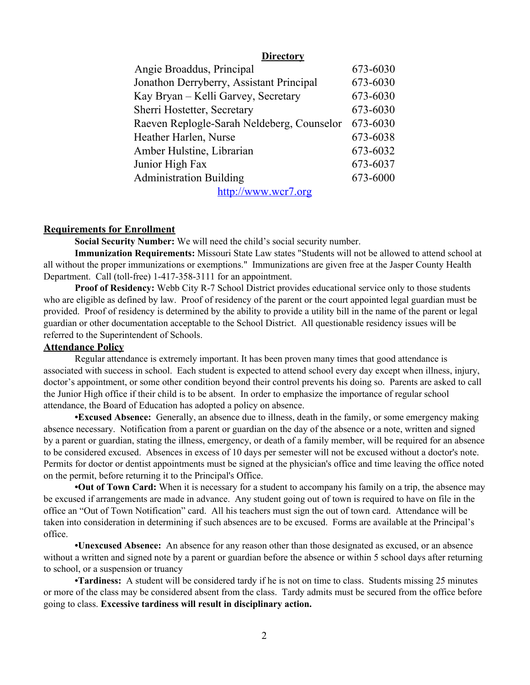### **Directory**

| Angie Broaddus, Principal                  | 673-6030 |
|--------------------------------------------|----------|
| Jonathon Derryberry, Assistant Principal   | 673-6030 |
| Kay Bryan – Kelli Garvey, Secretary        | 673-6030 |
| Sherri Hostetter, Secretary                | 673-6030 |
| Raeven Replogle-Sarah Neldeberg, Counselor | 673-6030 |
| Heather Harlen, Nurse                      | 673-6038 |
| Amber Hulstine, Librarian                  | 673-6032 |
| Junior High Fax                            | 673-6037 |
| <b>Administration Building</b>             | 673-6000 |
| http://www.wcr7.org                        |          |

#### **Requirements for Enrollment**

**Social Security Number:** We will need the child's social security number.

**Immunization Requirements:** Missouri State Law states "Students will not be allowed to attend school at all without the proper immunizations or exemptions." Immunizations are given free at the Jasper County Health Department. Call (toll-free) 1-417-358-3111 for an appointment.

**Proof of Residency:** Webb City R-7 School District provides educational service only to those students who are eligible as defined by law. Proof of residency of the parent or the court appointed legal guardian must be provided. Proof of residency is determined by the ability to provide a utility bill in the name of the parent or legal guardian or other documentation acceptable to the School District. All questionable residency issues will be referred to the Superintendent of Schools.

#### **Attendance Policy**

Regular attendance is extremely important. It has been proven many times that good attendance is associated with success in school. Each student is expected to attend school every day except when illness, injury, doctor's appointment, or some other condition beyond their control prevents his doing so. Parents are asked to call the Junior High office if their child is to be absent. In order to emphasize the importance of regular school attendance, the Board of Education has adopted a policy on absence.

**•Excused Absence:** Generally, an absence due to illness, death in the family, or some emergency making absence necessary. Notification from a parent or guardian on the day of the absence or a note, written and signed by a parent or guardian, stating the illness, emergency, or death of a family member, will be required for an absence to be considered excused. Absences in excess of 10 days per semester will not be excused without a doctor's note. Permits for doctor or dentist appointments must be signed at the physician's office and time leaving the office noted on the permit, before returning it to the Principal's Office.

**•Out of Town Card:** When it is necessary for a student to accompany his family on a trip, the absence may be excused if arrangements are made in advance. Any student going out of town is required to have on file in the office an "Out of Town Notification" card. All his teachers must sign the out of town card. Attendance will be taken into consideration in determining if such absences are to be excused. Forms are available at the Principal's office.

**•Unexcused Absence:** An absence for any reason other than those designated as excused, or an absence without a written and signed note by a parent or guardian before the absence or within 5 school days after returning to school, or a suspension or truancy

**•Tardiness:** A student will be considered tardy if he is not on time to class. Students missing 25 minutes or more of the class may be considered absent from the class. Tardy admits must be secured from the office before going to class. **Excessive tardiness will result in disciplinary action.**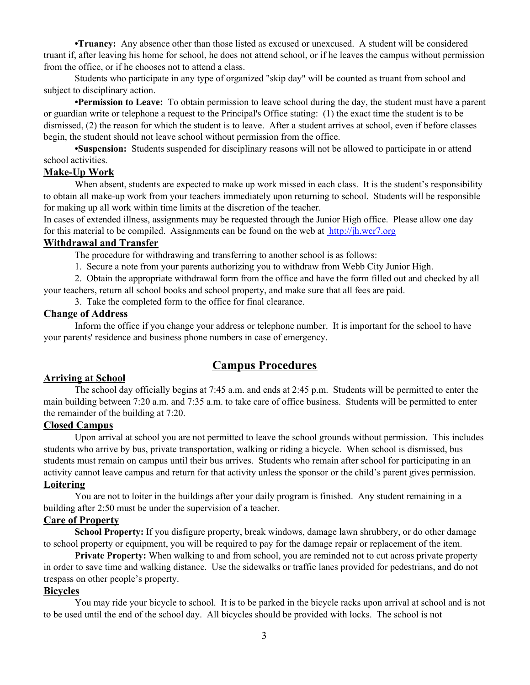**•Truancy:** Any absence other than those listed as excused or unexcused. A student will be considered truant if, after leaving his home for school, he does not attend school, or if he leaves the campus without permission from the office, or if he chooses not to attend a class.

Students who participate in any type of organized "skip day" will be counted as truant from school and subject to disciplinary action.

**•Permission to Leave:** To obtain permission to leave school during the day, the student must have a parent or guardian write or telephone a request to the Principal's Office stating: (1) the exact time the student is to be dismissed, (2) the reason for which the student is to leave. After a student arrives at school, even if before classes begin, the student should not leave school without permission from the office.

**•Suspension:** Students suspended for disciplinary reasons will not be allowed to participate in or attend school activities.

### **Make-Up Work**

When absent, students are expected to make up work missed in each class. It is the student's responsibility to obtain all make-up work from your teachers immediately upon returning to school. Students will be responsible for making up all work within time limits at the discretion of the teacher.

In cases of extended illness, assignments may be requested through the Junior High office. Please allow one day for this material to be compiled. Assignments can be found on the web at [http://jh.wcr7.org](http://jh.wcr7.org/)

## **Withdrawal and Transfer**

The procedure for withdrawing and transferring to another school is as follows:

1. Secure a note from your parents authorizing you to withdraw from Webb City Junior High.

2. Obtain the appropriate withdrawal form from the office and have the form filled out and checked by all your teachers, return all school books and school property, and make sure that all fees are paid.

3. Take the completed form to the office for final clearance.

# **Change of Address**

Inform the office if you change your address or telephone number. It is important for the school to have your parents' residence and business phone numbers in case of emergency.

# **Campus Procedures**

## **Arriving at School**

The school day officially begins at 7:45 a.m. and ends at 2:45 p.m. Students will be permitted to enter the main building between 7:20 a.m. and 7:35 a.m. to take care of office business. Students will be permitted to enter the remainder of the building at 7:20.

## **Closed Campus**

Upon arrival at school you are not permitted to leave the school grounds without permission. This includes students who arrive by bus, private transportation, walking or riding a bicycle. When school is dismissed, bus students must remain on campus until their bus arrives. Students who remain after school for participating in an activity cannot leave campus and return for that activity unless the sponsor or the child's parent gives permission. **Loitering**

# You are not to loiter in the buildings after your daily program is finished. Any student remaining in a building after 2:50 must be under the supervision of a teacher.

# **Care of Property**

**School Property:** If you disfigure property, break windows, damage lawn shrubbery, or do other damage to school property or equipment, you will be required to pay for the damage repair or replacement of the item.

**Private Property:** When walking to and from school, you are reminded not to cut across private property in order to save time and walking distance. Use the sidewalks or traffic lanes provided for pedestrians, and do not trespass on other people's property.

# **Bicycles**

You may ride your bicycle to school. It is to be parked in the bicycle racks upon arrival at school and is not to be used until the end of the school day. All bicycles should be provided with locks. The school is not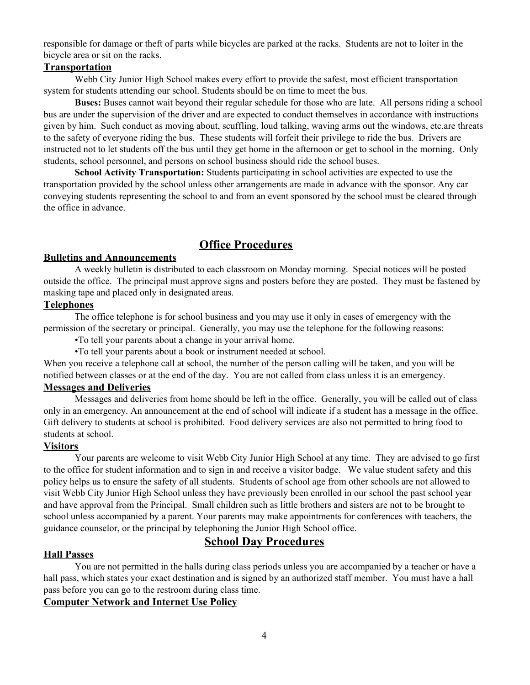responsible for damage or theft of parts while bicycles are parked at the racks. Students are not to loiter in the bicycle area or sit on the racks.

### **Transportation**

Webb City Junior High School makes every effort to provide the safest, most efficient transportation system for students attending our school. Students should be on time to meet the bus.

**Buses:** Buses cannot wait beyond their regular schedule for those who are late. All persons riding a school bus are under the supervision of the driver and are expected to conduct themselves in accordance with instructions given by him. Such conduct as moving about, scuffling, loud talking, waving arms out the windows, etc.are threats to the safety of everyone riding the bus. These students will forfeit their privilege to ride the bus. Drivers are instructed not to let students off the bus until they get home in the afternoon or get to school in the morning. Only students, school personnel, and persons on school business should ride the school buses.

**School Activity Transportation:** Students participating in school activities are expected to use the transportation provided by the school unless other arrangements are made in advance with the sponsor. Any car conveying students representing the school to and from an event sponsored by the school must be cleared through the office in advance.

# **Office Procedures**

#### **Bulletins and Announcements**

A weekly bulletin is distributed to each classroom on Monday morning. Special notices will be posted outside the office. The principal must approve signs and posters before they are posted. They must be fastened by masking tape and placed only in designated areas.

## **Telephones**

The office telephone is for school business and you may use it only in cases of emergency with the permission of the secretary or principal. Generally, you may use the telephone for the following reasons:

•To tell your parents about a change in your arrival home.

•To tell your parents about a book or instrument needed at school.

When you receive a telephone call at school, the number of the person calling will be taken, and you will be notified between classes or at the end of the day. You are not called from class unless it is an emergency.

# **Messages and Deliveries**

Messages and deliveries from home should be left in the office. Generally, you will be called out of class only in an emergency. An announcement at the end of school will indicate if a student has a message in the office. Gift delivery to students at school is prohibited. Food delivery services are also not permitted to bring food to students at school.

# **Visitors**

Your parents are welcome to visit Webb City Junior High School at any time. They are advised to go first to the office for student information and to sign in and receive a visitor badge. We value student safety and this policy helps us to ensure the safety of all students. Students of school age from other schools are not allowed to visit Webb City Junior High School unless they have previously been enrolled in our school the past school year and have approval from the Principal. Small children such as little brothers and sisters are not to be brought to school unless accompanied by a parent. Your parents may make appointments for conferences with teachers, the guidance counselor, or the principal by telephoning the Junior High School office.

# **School Day Procedures**

# **Hall Passes**

You are not permitted in the halls during class periods unless you are accompanied by a teacher or have a hall pass, which states your exact destination and is signed by an authorized staff member. You must have a hall pass before you can go to the restroom during class time.

## **Computer Network and Internet Use Policy**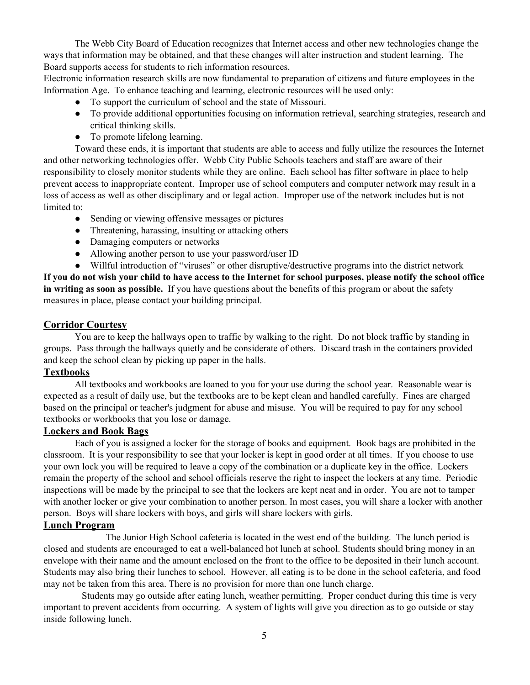The Webb City Board of Education recognizes that Internet access and other new technologies change the ways that information may be obtained, and that these changes will alter instruction and student learning. The Board supports access for students to rich information resources.

Electronic information research skills are now fundamental to preparation of citizens and future employees in the Information Age. To enhance teaching and learning, electronic resources will be used only:

- To support the curriculum of school and the state of Missouri.
- To provide additional opportunities focusing on information retrieval, searching strategies, research and critical thinking skills.
- To promote lifelong learning.

Toward these ends, it is important that students are able to access and fully utilize the resources the Internet and other networking technologies offer. Webb City Public Schools teachers and staff are aware of their responsibility to closely monitor students while they are online. Each school has filter software in place to help prevent access to inappropriate content. Improper use of school computers and computer network may result in a loss of access as well as other disciplinary and or legal action. Improper use of the network includes but is not limited to:

- Sending or viewing offensive messages or pictures
- Threatening, harassing, insulting or attacking others
- Damaging computers or networks
- Allowing another person to use your password/user ID
- Willful introduction of "viruses" or other disruptive/destructive programs into the district network

If you do not wish your child to have access to the Internet for school purposes, please notify the school office **in writing as soon as possible.** If you have questions about the benefits of this program or about the safety measures in place, please contact your building principal.

#### **Corridor Courtesy**

You are to keep the hallways open to traffic by walking to the right. Do not block traffic by standing in groups. Pass through the hallways quietly and be considerate of others. Discard trash in the containers provided and keep the school clean by picking up paper in the halls.

# **Textbooks**

All textbooks and workbooks are loaned to you for your use during the school year. Reasonable wear is expected as a result of daily use, but the textbooks are to be kept clean and handled carefully. Fines are charged based on the principal or teacher's judgment for abuse and misuse. You will be required to pay for any school textbooks or workbooks that you lose or damage.

#### **Lockers and Book Bags**

Each of you is assigned a locker for the storage of books and equipment. Book bags are prohibited in the classroom. It is your responsibility to see that your locker is kept in good order at all times. If you choose to use your own lock you will be required to leave a copy of the combination or a duplicate key in the office. Lockers remain the property of the school and school officials reserve the right to inspect the lockers at any time. Periodic inspections will be made by the principal to see that the lockers are kept neat and in order. You are not to tamper with another locker or give your combination to another person. In most cases, you will share a locker with another person. Boys will share lockers with boys, and girls will share lockers with girls.

## **Lunch Program**

The Junior High School cafeteria is located in the west end of the building. The lunch period is closed and students are encouraged to eat a well-balanced hot lunch at school. Students should bring money in an envelope with their name and the amount enclosed on the front to the office to be deposited in their lunch account. Students may also bring their lunches to school. However, all eating is to be done in the school cafeteria, and food may not be taken from this area. There is no provision for more than one lunch charge.

Students may go outside after eating lunch, weather permitting. Proper conduct during this time is very important to prevent accidents from occurring. A system of lights will give you direction as to go outside or stay inside following lunch.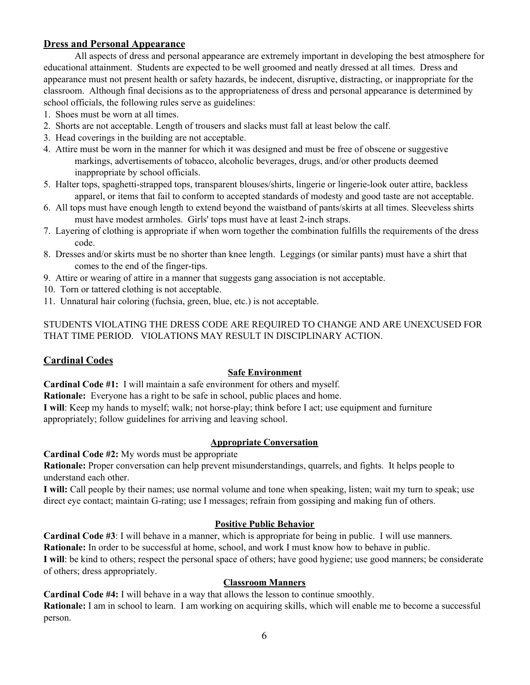# **Dress and Personal Appearance**

All aspects of dress and personal appearance are extremely important in developing the best atmosphere for educational attainment. Students are expected to be well groomed and neatly dressed at all times. Dress and appearance must not present health or safety hazards, be indecent, disruptive, distracting, or inappropriate for the classroom. Although final decisions as to the appropriateness of dress and personal appearance is determined by school officials, the following rules serve as guidelines:

- 1. Shoes must be worn at all times.
- 2. Shorts are not acceptable. Length of trousers and slacks must fall at least below the calf.
- 3. Head coverings in the building are not acceptable.
- 4. Attire must be worn in the manner for which it was designed and must be free of obscene or suggestive markings, advertisements of tobacco, alcoholic beverages, drugs, and/or other products deemed inappropriate by school officials.
- 5. Halter tops, spaghetti-strapped tops, transparent blouses/shirts, lingerie or lingerie-look outer attire, backless apparel, or items that fail to conform to accepted standards of modesty and good taste are not acceptable.
- 6. All tops must have enough length to extend beyond the waistband of pants/skirts at all times. Sleeveless shirts must have modest armholes. Girls' tops must have at least 2-inch straps.
- 7. Layering of clothing is appropriate if when worn together the combination fulfills the requirements of the dress code.
- 8. Dresses and/or skirts must be no shorter than knee length. Leggings (or similar pants) must have a shirt that comes to the end of the finger-tips.
- 9. Attire or wearing of attire in a manner that suggests gang association is not acceptable.
- 10. Torn or tattered clothing is not acceptable.
- 11. Unnatural hair coloring (fuchsia, green, blue, etc.) is not acceptable.

STUDENTS VIOLATING THE DRESS CODE ARE REQUIRED TO CHANGE AND ARE UNEXCUSED FOR THAT TIME PERIOD. VIOLATIONS MAY RESULT IN DISCIPLINARY ACTION.

## **Cardinal Codes**

#### **Safe Environment**

**Cardinal Code #1:** I will maintain a safe environment for others and myself.

**Rationale:** Everyone has a right to be safe in school, public places and home.

**I will**: Keep my hands to myself; walk; not horse-play; think before I act; use equipment and furniture appropriately; follow guidelines for arriving and leaving school.

#### **Appropriate Conversation**

**Cardinal Code #2:** My words must be appropriate

**Rationale:** Proper conversation can help prevent misunderstandings, quarrels, and fights. It helps people to understand each other.

**I will:** Call people by their names; use normal volume and tone when speaking, listen; wait my turn to speak; use direct eye contact; maintain G-rating; use I messages; refrain from gossiping and making fun of others.

#### **Positive Public Behavior**

**Cardinal Code #3**: I will behave in a manner, which is appropriate for being in public. I will use manners. **Rationale:** In order to be successful at home, school, and work I must know how to behave in public. **I will**: be kind to others; respect the personal space of others; have good hygiene; use good manners; be considerate of others; dress appropriately.

#### **Classroom Manners**

**Cardinal Code #4:** I will behave in a way that allows the lesson to continue smoothly. **Rationale:** I am in school to learn. I am working on acquiring skills, which will enable me to become a successful person.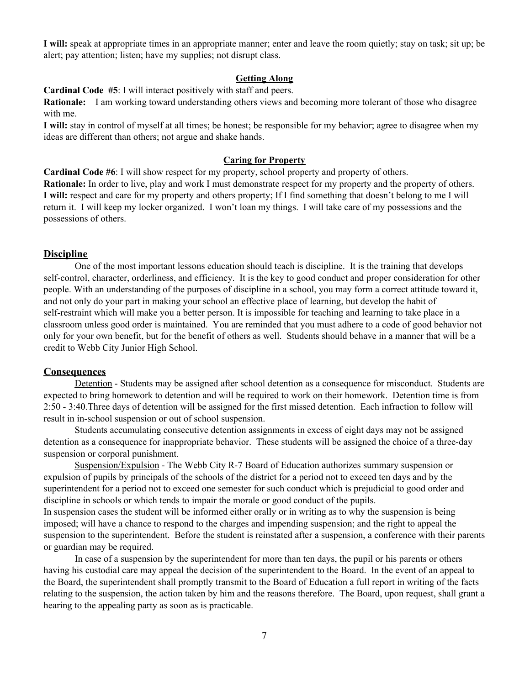**I will:** speak at appropriate times in an appropriate manner; enter and leave the room quietly; stay on task; sit up; be alert; pay attention; listen; have my supplies; not disrupt class.

#### **Getting Along**

**Cardinal Code #5**: I will interact positively with staff and peers.

**Rationale:** I am working toward understanding others views and becoming more tolerant of those who disagree with me.

**I will:** stay in control of myself at all times; be honest; be responsible for my behavior; agree to disagree when my ideas are different than others; not argue and shake hands.

#### **Caring for Property**

**Cardinal Code #6**: I will show respect for my property, school property and property of others. **Rationale:** In order to live, play and work I must demonstrate respect for my property and the property of others. **I will:** respect and care for my property and others property; If I find something that doesn't belong to me I will return it. I will keep my locker organized. I won't loan my things. I will take care of my possessions and the possessions of others.

#### **Discipline**

One of the most important lessons education should teach is discipline. It is the training that develops self-control, character, orderliness, and efficiency. It is the key to good conduct and proper consideration for other people. With an understanding of the purposes of discipline in a school, you may form a correct attitude toward it, and not only do your part in making your school an effective place of learning, but develop the habit of self-restraint which will make you a better person. It is impossible for teaching and learning to take place in a classroom unless good order is maintained. You are reminded that you must adhere to a code of good behavior not only for your own benefit, but for the benefit of others as well. Students should behave in a manner that will be a credit to Webb City Junior High School.

#### **Consequences**

Detention - Students may be assigned after school detention as a consequence for misconduct. Students are expected to bring homework to detention and will be required to work on their homework. Detention time is from 2:50 - 3:40.Three days of detention will be assigned for the first missed detention. Each infraction to follow will result in in-school suspension or out of school suspension.

Students accumulating consecutive detention assignments in excess of eight days may not be assigned detention as a consequence for inappropriate behavior. These students will be assigned the choice of a three-day suspension or corporal punishment.

Suspension/Expulsion - The Webb City R-7 Board of Education authorizes summary suspension or expulsion of pupils by principals of the schools of the district for a period not to exceed ten days and by the superintendent for a period not to exceed one semester for such conduct which is prejudicial to good order and discipline in schools or which tends to impair the morale or good conduct of the pupils.

In suspension cases the student will be informed either orally or in writing as to why the suspension is being imposed; will have a chance to respond to the charges and impending suspension; and the right to appeal the suspension to the superintendent. Before the student is reinstated after a suspension, a conference with their parents or guardian may be required.

In case of a suspension by the superintendent for more than ten days, the pupil or his parents or others having his custodial care may appeal the decision of the superintendent to the Board. In the event of an appeal to the Board, the superintendent shall promptly transmit to the Board of Education a full report in writing of the facts relating to the suspension, the action taken by him and the reasons therefore. The Board, upon request, shall grant a hearing to the appealing party as soon as is practicable.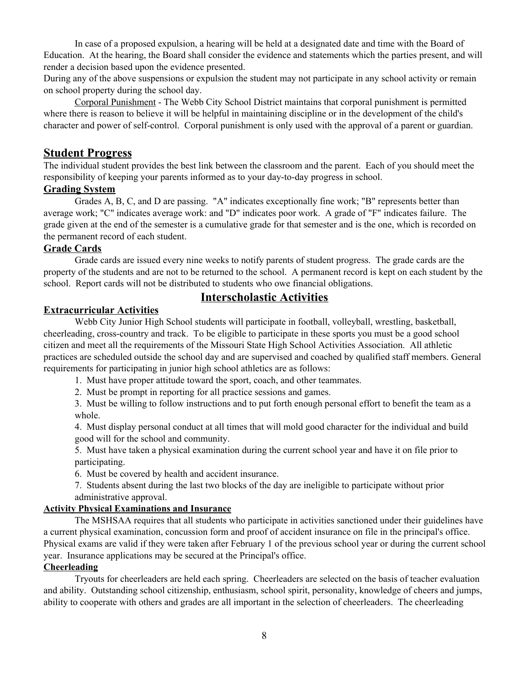In case of a proposed expulsion, a hearing will be held at a designated date and time with the Board of Education. At the hearing, the Board shall consider the evidence and statements which the parties present, and will render a decision based upon the evidence presented.

During any of the above suspensions or expulsion the student may not participate in any school activity or remain on school property during the school day.

Corporal Punishment - The Webb City School District maintains that corporal punishment is permitted where there is reason to believe it will be helpful in maintaining discipline or in the development of the child's character and power of self-control. Corporal punishment is only used with the approval of a parent or guardian.

## **Student Progress**

The individual student provides the best link between the classroom and the parent. Each of you should meet the responsibility of keeping your parents informed as to your day-to-day progress in school.

### **Grading System**

Grades A, B, C, and D are passing. "A" indicates exceptionally fine work; "B" represents better than average work; "C" indicates average work: and "D" indicates poor work. A grade of "F" indicates failure. The grade given at the end of the semester is a cumulative grade for that semester and is the one, which is recorded on the permanent record of each student.

# **Grade Cards**

Grade cards are issued every nine weeks to notify parents of student progress. The grade cards are the property of the students and are not to be returned to the school. A permanent record is kept on each student by the school. Report cards will not be distributed to students who owe financial obligations.

# **Interscholastic Activities**

### **Extracurricular Activities**

Webb City Junior High School students will participate in football, volleyball, wrestling, basketball, cheerleading, cross-country and track. To be eligible to participate in these sports you must be a good school citizen and meet all the requirements of the Missouri State High School Activities Association. All athletic practices are scheduled outside the school day and are supervised and coached by qualified staff members. General requirements for participating in junior high school athletics are as follows:

1. Must have proper attitude toward the sport, coach, and other teammates.

2. Must be prompt in reporting for all practice sessions and games.

3. Must be willing to follow instructions and to put forth enough personal effort to benefit the team as a whole.

4. Must display personal conduct at all times that will mold good character for the individual and build good will for the school and community.

5. Must have taken a physical examination during the current school year and have it on file prior to participating.

6. Must be covered by health and accident insurance.

7. Students absent during the last two blocks of the day are ineligible to participate without prior administrative approval.

## **Activity Physical Examinations and Insurance**

The MSHSAA requires that all students who participate in activities sanctioned under their guidelines have a current physical examination, concussion form and proof of accident insurance on file in the principal's office. Physical exams are valid if they were taken after February 1 of the previous school year or during the current school year. Insurance applications may be secured at the Principal's office.

#### **Cheerleading**

Tryouts for cheerleaders are held each spring. Cheerleaders are selected on the basis of teacher evaluation and ability. Outstanding school citizenship, enthusiasm, school spirit, personality, knowledge of cheers and jumps, ability to cooperate with others and grades are all important in the selection of cheerleaders. The cheerleading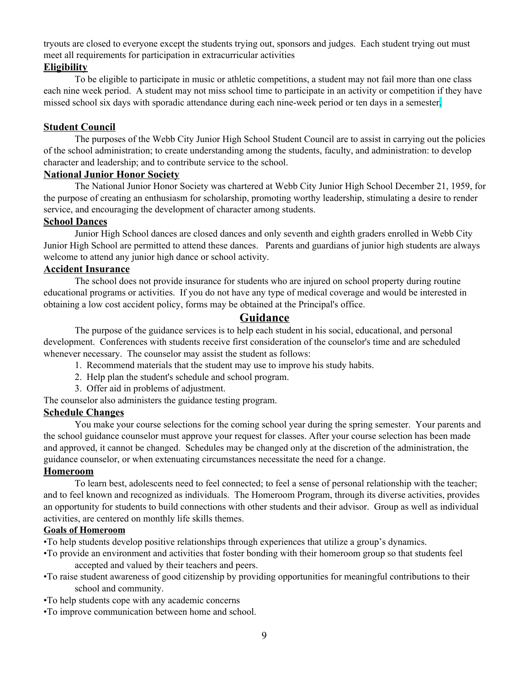tryouts are closed to everyone except the students trying out, sponsors and judges. Each student trying out must meet all requirements for participation in extracurricular activities

# **Eligibility**

To be eligible to participate in music or athletic competitions, a student may not fail more than one class each nine week period. A student may not miss school time to participate in an activity or competition if they have missed school six days with sporadic attendance during each nine-week period or ten days in a semester.

# **Student Council**

The purposes of the Webb City Junior High School Student Council are to assist in carrying out the policies of the school administration; to create understanding among the students, faculty, and administration: to develop character and leadership; and to contribute service to the school.

## **National Junior Honor Society**

The National Junior Honor Society was chartered at Webb City Junior High School December 21, 1959, for the purpose of creating an enthusiasm for scholarship, promoting worthy leadership, stimulating a desire to render service, and encouraging the development of character among students.

# **School Dances**

Junior High School dances are closed dances and only seventh and eighth graders enrolled in Webb City Junior High School are permitted to attend these dances. Parents and guardians of junior high students are always welcome to attend any junior high dance or school activity.

## **Accident Insurance**

The school does not provide insurance for students who are injured on school property during routine educational programs or activities. If you do not have any type of medical coverage and would be interested in obtaining a low cost accident policy, forms may be obtained at the Principal's office.

# **Guidance**

The purpose of the guidance services is to help each student in his social, educational, and personal development. Conferences with students receive first consideration of the counselor's time and are scheduled whenever necessary. The counselor may assist the student as follows:

- 1. Recommend materials that the student may use to improve his study habits.
- 2. Help plan the student's schedule and school program.
- 3. Offer aid in problems of adjustment.

The counselor also administers the guidance testing program.

## **Schedule Changes**

You make your course selections for the coming school year during the spring semester. Your parents and the school guidance counselor must approve your request for classes. After your course selection has been made and approved, it cannot be changed. Schedules may be changed only at the discretion of the administration, the guidance counselor, or when extenuating circumstances necessitate the need for a change.

## **Homeroom**

To learn best, adolescents need to feel connected; to feel a sense of personal relationship with the teacher; and to feel known and recognized as individuals. The Homeroom Program, through its diverse activities, provides an opportunity for students to build connections with other students and their advisor. Group as well as individual activities, are centered on monthly life skills themes.

## **Goals of Homeroom**

•To help students develop positive relationships through experiences that utilize a group's dynamics.

- •To provide an environment and activities that foster bonding with their homeroom group so that students feel accepted and valued by their teachers and peers.
- •To raise student awareness of good citizenship by providing opportunities for meaningful contributions to their school and community.
- •To help students cope with any academic concerns
- •To improve communication between home and school.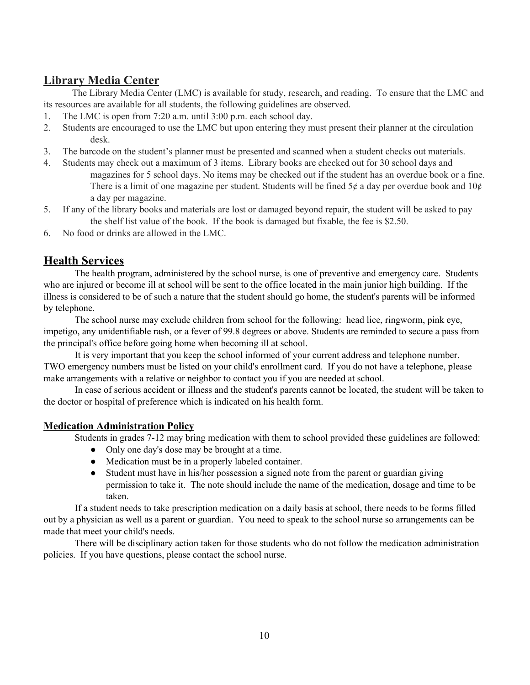# **Library Media Center**

The Library Media Center (LMC) is available for study, research, and reading. To ensure that the LMC and its resources are available for all students, the following guidelines are observed.

- 1. The LMC is open from 7:20 a.m. until 3:00 p.m. each school day.
- 2. Students are encouraged to use the LMC but upon entering they must present their planner at the circulation desk.
- 3. The barcode on the student's planner must be presented and scanned when a student checks out materials.
- 4. Students may check out a maximum of 3 items. Library books are checked out for 30 school days and magazines for 5 school days. No items may be checked out if the student has an overdue book or a fine. There is a limit of one magazine per student. Students will be fined  $5¢$  a day per overdue book and  $10¢$ a day per magazine.
- 5. If any of the library books and materials are lost or damaged beyond repair, the student will be asked to pay the shelf list value of the book. If the book is damaged but fixable, the fee is \$2.50.
- 6. No food or drinks are allowed in the LMC.

# **Health Services**

The health program, administered by the school nurse, is one of preventive and emergency care. Students who are injured or become ill at school will be sent to the office located in the main junior high building. If the illness is considered to be of such a nature that the student should go home, the student's parents will be informed by telephone.

The school nurse may exclude children from school for the following: head lice, ringworm, pink eye, impetigo, any unidentifiable rash, or a fever of 99.8 degrees or above. Students are reminded to secure a pass from the principal's office before going home when becoming ill at school.

It is very important that you keep the school informed of your current address and telephone number. TWO emergency numbers must be listed on your child's enrollment card. If you do not have a telephone, please make arrangements with a relative or neighbor to contact you if you are needed at school.

In case of serious accident or illness and the student's parents cannot be located, the student will be taken to the doctor or hospital of preference which is indicated on his health form.

# **Medication Administration Policy**

Students in grades 7-12 may bring medication with them to school provided these guidelines are followed:

- Only one day's dose may be brought at a time.
- Medication must be in a properly labeled container.
- Student must have in his/her possession a signed note from the parent or guardian giving permission to take it. The note should include the name of the medication, dosage and time to be taken.

If a student needs to take prescription medication on a daily basis at school, there needs to be forms filled out by a physician as well as a parent or guardian. You need to speak to the school nurse so arrangements can be made that meet your child's needs.

There will be disciplinary action taken for those students who do not follow the medication administration policies. If you have questions, please contact the school nurse.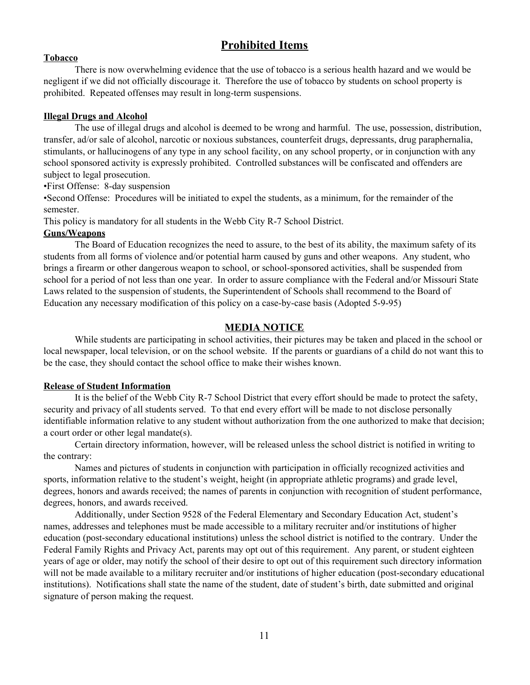# **Prohibited Items**

#### **Tobacco**

There is now overwhelming evidence that the use of tobacco is a serious health hazard and we would be negligent if we did not officially discourage it. Therefore the use of tobacco by students on school property is prohibited. Repeated offenses may result in long-term suspensions.

#### **Illegal Drugs and Alcohol**

The use of illegal drugs and alcohol is deemed to be wrong and harmful. The use, possession, distribution, transfer, ad/or sale of alcohol, narcotic or noxious substances, counterfeit drugs, depressants, drug paraphernalia, stimulants, or hallucinogens of any type in any school facility, on any school property, or in conjunction with any school sponsored activity is expressly prohibited. Controlled substances will be confiscated and offenders are subject to legal prosecution.

•First Offense: 8-day suspension

•Second Offense: Procedures will be initiated to expel the students, as a minimum, for the remainder of the semester.

This policy is mandatory for all students in the Webb City R-7 School District.

#### **Guns/Weapons**

The Board of Education recognizes the need to assure, to the best of its ability, the maximum safety of its students from all forms of violence and/or potential harm caused by guns and other weapons. Any student, who brings a firearm or other dangerous weapon to school, or school-sponsored activities, shall be suspended from school for a period of not less than one year. In order to assure compliance with the Federal and/or Missouri State Laws related to the suspension of students, the Superintendent of Schools shall recommend to the Board of Education any necessary modification of this policy on a case-by-case basis (Adopted 5-9-95)

## **MEDIA NOTICE**

While students are participating in school activities, their pictures may be taken and placed in the school or local newspaper, local television, or on the school website. If the parents or guardians of a child do not want this to be the case, they should contact the school office to make their wishes known.

#### **Release of Student Information**

It is the belief of the Webb City R-7 School District that every effort should be made to protect the safety, security and privacy of all students served. To that end every effort will be made to not disclose personally identifiable information relative to any student without authorization from the one authorized to make that decision; a court order or other legal mandate(s).

Certain directory information, however, will be released unless the school district is notified in writing to the contrary:

Names and pictures of students in conjunction with participation in officially recognized activities and sports, information relative to the student's weight, height (in appropriate athletic programs) and grade level, degrees, honors and awards received; the names of parents in conjunction with recognition of student performance, degrees, honors, and awards received.

Additionally, under Section 9528 of the Federal Elementary and Secondary Education Act, student's names, addresses and telephones must be made accessible to a military recruiter and/or institutions of higher education (post-secondary educational institutions) unless the school district is notified to the contrary. Under the Federal Family Rights and Privacy Act, parents may opt out of this requirement. Any parent, or student eighteen years of age or older, may notify the school of their desire to opt out of this requirement such directory information will not be made available to a military recruiter and/or institutions of higher education (post-secondary educational institutions). Notifications shall state the name of the student, date of student's birth, date submitted and original signature of person making the request.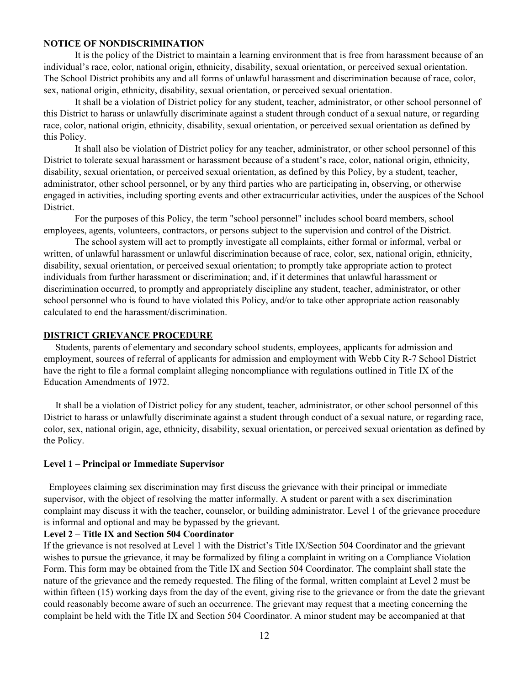#### **NOTICE OF NONDISCRIMINATION**

It is the policy of the District to maintain a learning environment that is free from harassment because of an individual's race, color, national origin, ethnicity, disability, sexual orientation, or perceived sexual orientation. The School District prohibits any and all forms of unlawful harassment and discrimination because of race, color, sex, national origin, ethnicity, disability, sexual orientation, or perceived sexual orientation.

It shall be a violation of District policy for any student, teacher, administrator, or other school personnel of this District to harass or unlawfully discriminate against a student through conduct of a sexual nature, or regarding race, color, national origin, ethnicity, disability, sexual orientation, or perceived sexual orientation as defined by this Policy.

It shall also be violation of District policy for any teacher, administrator, or other school personnel of this District to tolerate sexual harassment or harassment because of a student's race, color, national origin, ethnicity, disability, sexual orientation, or perceived sexual orientation, as defined by this Policy, by a student, teacher, administrator, other school personnel, or by any third parties who are participating in, observing, or otherwise engaged in activities, including sporting events and other extracurricular activities, under the auspices of the School District.

For the purposes of this Policy, the term "school personnel" includes school board members, school employees, agents, volunteers, contractors, or persons subject to the supervision and control of the District.

The school system will act to promptly investigate all complaints, either formal or informal, verbal or written, of unlawful harassment or unlawful discrimination because of race, color, sex, national origin, ethnicity, disability, sexual orientation, or perceived sexual orientation; to promptly take appropriate action to protect individuals from further harassment or discrimination; and, if it determines that unlawful harassment or discrimination occurred, to promptly and appropriately discipline any student, teacher, administrator, or other school personnel who is found to have violated this Policy, and/or to take other appropriate action reasonably calculated to end the harassment/discrimination.

### **DISTRICT GRIEVANCE PROCEDURE**

Students, parents of elementary and secondary school students, employees, applicants for admission and employment, sources of referral of applicants for admission and employment with Webb City R-7 School District have the right to file a formal complaint alleging noncompliance with regulations outlined in Title IX of the Education Amendments of 1972.

It shall be a violation of District policy for any student, teacher, administrator, or other school personnel of this District to harass or unlawfully discriminate against a student through conduct of a sexual nature, or regarding race, color, sex, national origin, age, ethnicity, disability, sexual orientation, or perceived sexual orientation as defined by the Policy.

#### **Level 1 – Principal or Immediate Supervisor**

Employees claiming sex discrimination may first discuss the grievance with their principal or immediate supervisor, with the object of resolving the matter informally. A student or parent with a sex discrimination complaint may discuss it with the teacher, counselor, or building administrator. Level 1 of the grievance procedure is informal and optional and may be bypassed by the grievant.

#### **Level 2 – Title IX and Section 504 Coordinator**

If the grievance is not resolved at Level 1 with the District's Title IX/Section 504 Coordinator and the grievant wishes to pursue the grievance, it may be formalized by filing a complaint in writing on a Compliance Violation Form. This form may be obtained from the Title IX and Section 504 Coordinator. The complaint shall state the nature of the grievance and the remedy requested. The filing of the formal, written complaint at Level 2 must be within fifteen (15) working days from the day of the event, giving rise to the grievance or from the date the grievant could reasonably become aware of such an occurrence. The grievant may request that a meeting concerning the complaint be held with the Title IX and Section 504 Coordinator. A minor student may be accompanied at that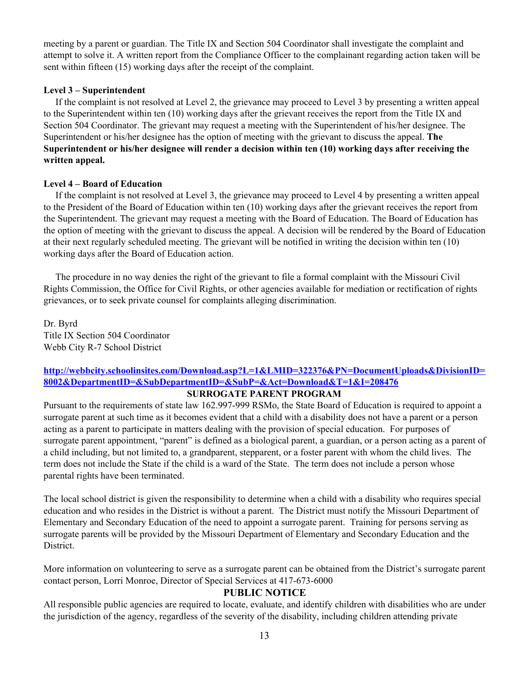meeting by a parent or guardian. The Title IX and Section 504 Coordinator shall investigate the complaint and attempt to solve it. A written report from the Compliance Officer to the complainant regarding action taken will be sent within fifteen (15) working days after the receipt of the complaint.

#### **Level 3 – Superintendent**

If the complaint is not resolved at Level 2, the grievance may proceed to Level 3 by presenting a written appeal to the Superintendent within ten (10) working days after the grievant receives the report from the Title IX and Section 504 Coordinator. The grievant may request a meeting with the Superintendent of his/her designee. The Superintendent or his/her designee has the option of meeting with the grievant to discuss the appeal. **The Superintendent or his/her designee will render a decision within ten (10) working days after receiving the written appeal.**

#### **Level 4 – Board of Education**

If the complaint is not resolved at Level 3, the grievance may proceed to Level 4 by presenting a written appeal to the President of the Board of Education within ten (10) working days after the grievant receives the report from the Superintendent. The grievant may request a meeting with the Board of Education. The Board of Education has the option of meeting with the grievant to discuss the appeal. A decision will be rendered by the Board of Education at their next regularly scheduled meeting. The grievant will be notified in writing the decision within ten (10) working days after the Board of Education action.

The procedure in no way denies the right of the grievant to file a formal complaint with the Missouri Civil Rights Commission, the Office for Civil Rights, or other agencies available for mediation or rectification of rights grievances, or to seek private counsel for complaints alleging discrimination.

Dr. Byrd Title IX Section 504 Coordinator Webb City R-7 School District

# **[http://webbcity.schoolinsites.com/Download.asp?L=1&LMID=322376&PN=DocumentUploads&DivisionID=](http://webbcity.schoolinsites.com/Download.asp?L=1&LMID=322376&PN=DocumentUploads&DivisionID=8002&DepartmentID=&SubDepartmentID=&SubP=&Act=Download&T=1&I=208476) [8002&DepartmentID=&SubDepartmentID=&SubP=&Act=Download&T=1&I=208476](http://webbcity.schoolinsites.com/Download.asp?L=1&LMID=322376&PN=DocumentUploads&DivisionID=8002&DepartmentID=&SubDepartmentID=&SubP=&Act=Download&T=1&I=208476)**

#### **SURROGATE PARENT PROGRAM**

Pursuant to the requirements of state law 162.997-999 RSMo, the State Board of Education is required to appoint a surrogate parent at such time as it becomes evident that a child with a disability does not have a parent or a person acting as a parent to participate in matters dealing with the provision of special education. For purposes of surrogate parent appointment, "parent" is defined as a biological parent, a guardian, or a person acting as a parent of a child including, but not limited to, a grandparent, stepparent, or a foster parent with whom the child lives. The term does not include the State if the child is a ward of the State. The term does not include a person whose parental rights have been terminated.

The local school district is given the responsibility to determine when a child with a disability who requires special education and who resides in the District is without a parent. The District must notify the Missouri Department of Elementary and Secondary Education of the need to appoint a surrogate parent. Training for persons serving as surrogate parents will be provided by the Missouri Department of Elementary and Secondary Education and the District.

More information on volunteering to serve as a surrogate parent can be obtained from the District's surrogate parent contact person, Lorri Monroe, Director of Special Services at 417-673-6000

## **PUBLIC NOTICE**

All responsible public agencies are required to locate, evaluate, and identify children with disabilities who are under the jurisdiction of the agency, regardless of the severity of the disability, including children attending private